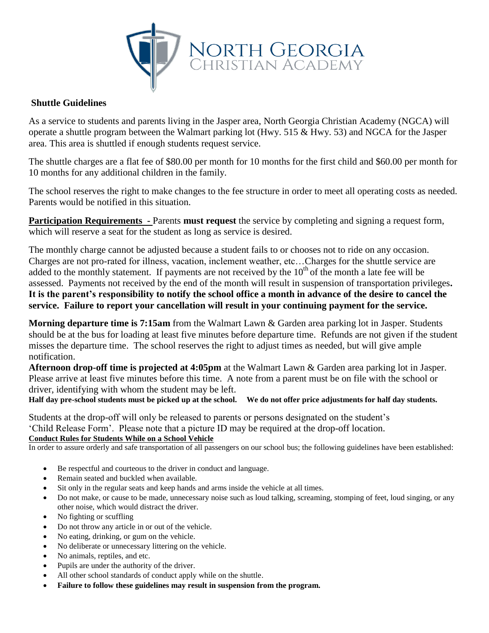

## **Shuttle Guidelines**

As a service to students and parents living in the Jasper area, North Georgia Christian Academy (NGCA) will operate a shuttle program between the Walmart parking lot (Hwy. 515 & Hwy. 53) and NGCA for the Jasper area. This area is shuttled if enough students request service.

The shuttle charges are a flat fee of \$80.00 per month for 10 months for the first child and \$60.00 per month for 10 months for any additional children in the family.

The school reserves the right to make changes to the fee structure in order to meet all operating costs as needed. Parents would be notified in this situation.

**Participation Requirements -** Parents **must request** the service by completing and signing a request form, which will reserve a seat for the student as long as service is desired.

The monthly charge cannot be adjusted because a student fails to or chooses not to ride on any occasion. Charges are not pro-rated for illness, vacation, inclement weather, etc…Charges for the shuttle service are added to the monthly statement. If payments are not received by the  $10<sup>th</sup>$  of the month a late fee will be assessed. Payments not received by the end of the month will result in suspension of transportation privileges**. It is the parent's responsibility to notify the school office a month in advance of the desire to cancel the service. Failure to report your cancellation will result in your continuing payment for the service.**

**Morning departure time is 7:15am** from the Walmart Lawn & Garden area parking lot in Jasper. Students should be at the bus for loading at least five minutes before departure time. Refunds are not given if the student misses the departure time. The school reserves the right to adjust times as needed, but will give ample notification.

**Afternoon drop-off time is projected at 4:05pm** at the Walmart Lawn & Garden area parking lot in Jasper. Please arrive at least five minutes before this time. A note from a parent must be on file with the school or driver, identifying with whom the student may be left.

**Half day pre-school students must be picked up at the school. We do not offer price adjustments for half day students.** 

Students at the drop-off will only be released to parents or persons designated on the student's 'Child Release Form'. Please note that a picture ID may be required at the drop-off location. **Conduct Rules for Students While on a School Vehicle** 

In order to assure orderly and safe transportation of all passengers on our school bus; the following guidelines have been established:

- Be respectful and courteous to the driver in conduct and language.
- Remain seated and buckled when available.
- Sit only in the regular seats and keep hands and arms inside the vehicle at all times.
- Do not make, or cause to be made, unnecessary noise such as loud talking, screaming, stomping of feet, loud singing, or any other noise, which would distract the driver.
- No fighting or scuffling
- Do not throw any article in or out of the vehicle.
- No eating, drinking, or gum on the vehicle.
- No deliberate or unnecessary littering on the vehicle.
- No animals, reptiles, and etc.
- Pupils are under the authority of the driver.
- All other school standards of conduct apply while on the shuttle.
- **Failure to follow these guidelines may result in suspension from the program.**